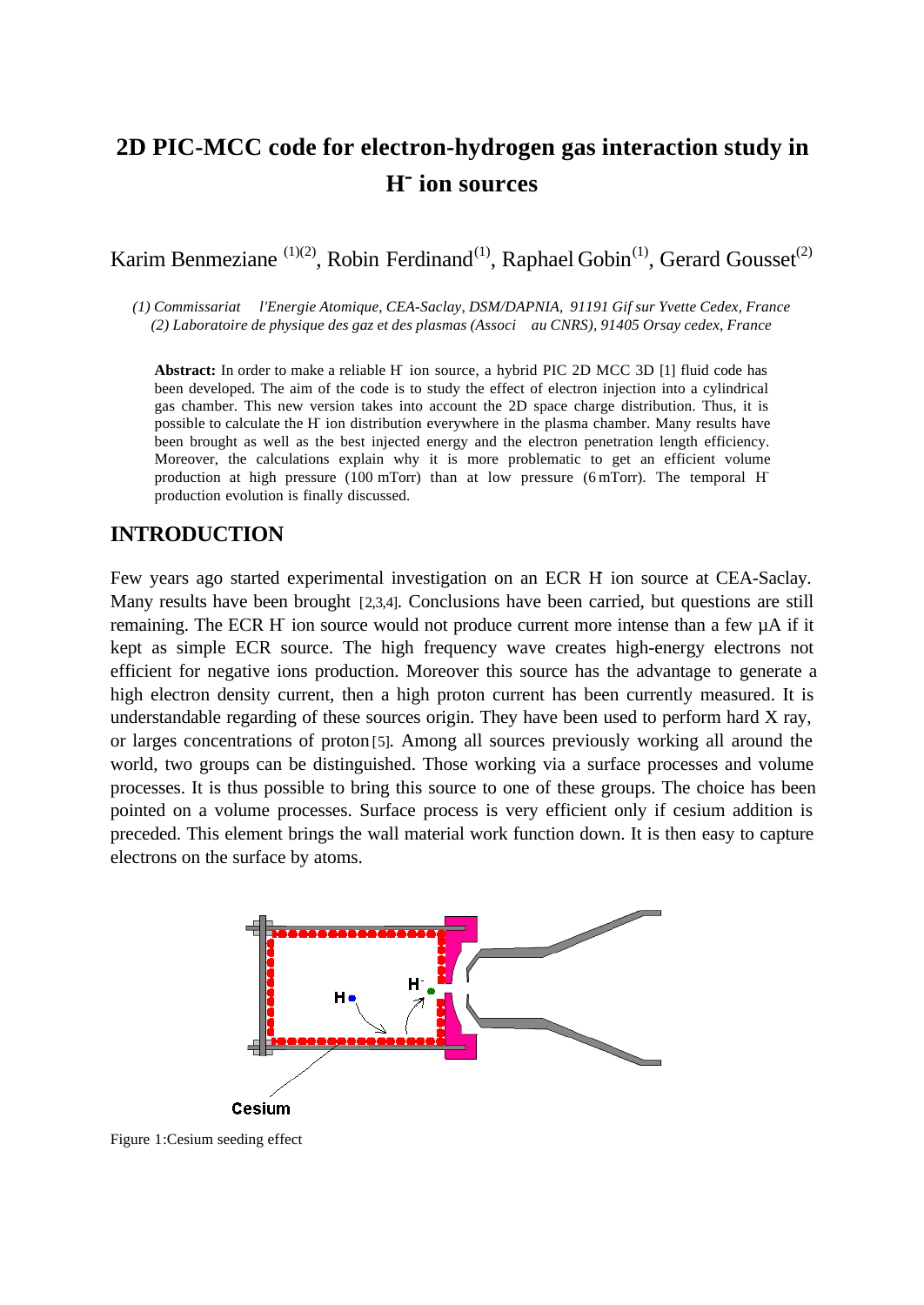# **2D PIC-MCC code for electron-hydrogen gas interaction study in H- ion sources**

Karim Benmeziane  $(1)(2)$ , Robin Ferdinand $(1)$ , Raphael Gobin $(1)$ , Gerard Gousset $(2)$ 

*(1) Commissariat l'Energie Atomique, CEA-Saclay, DSM/DAPNIA, 91191 Gif sur Yvette Cedex, France (2) Laboratoire de physique des gaz et des plasmas (Associ au CNRS), 91405 Orsay cedex, France*

Abstract: In order to make a reliable H ion source, a hybrid PIC 2D MCC 3D [1] fluid code has been developed. The aim of the code is to study the effect of electron injection into a cylindrical gas chamber. This new version takes into account the 2D space charge distribution. Thus, it is possible to calculate the H ion distribution everywhere in the plasma chamber. Many results have been brought as well as the best injected energy and the electron penetration length efficiency. Moreover, the calculations explain why it is more problematic to get an efficient volume production at high pressure (100 mTorr) than at low pressure (6 mTorr). The temporal H production evolution is finally discussed.

#### **INTRODUCTION**

Few years ago started experimental investigation on an ECR H ion source at CEA-Saclay. Many results have been brought [2,3,4]. Conclusions have been carried, but questions are still remaining. The ECR H ion source would not produce current more intense than a few  $\mu A$  if it kept as simple ECR source. The high frequency wave creates high-energy electrons not efficient for negative ions production. Moreover this source has the advantage to generate a high electron density current, then a high proton current has been currently measured. It is understandable regarding of these sources origin. They have been used to perform hard X ray, or larges concentrations of proton [5]. Among all sources previously working all around the world, two groups can be distinguished. Those working via a surface processes and volume processes. It is thus possible to bring this source to one of these groups. The choice has been pointed on a volume processes. Surface process is very efficient only if cesium addition is preceded. This element brings the wall material work function down. It is then easy to capture electrons on the surface by atoms.



Figure 1:Cesium seeding effect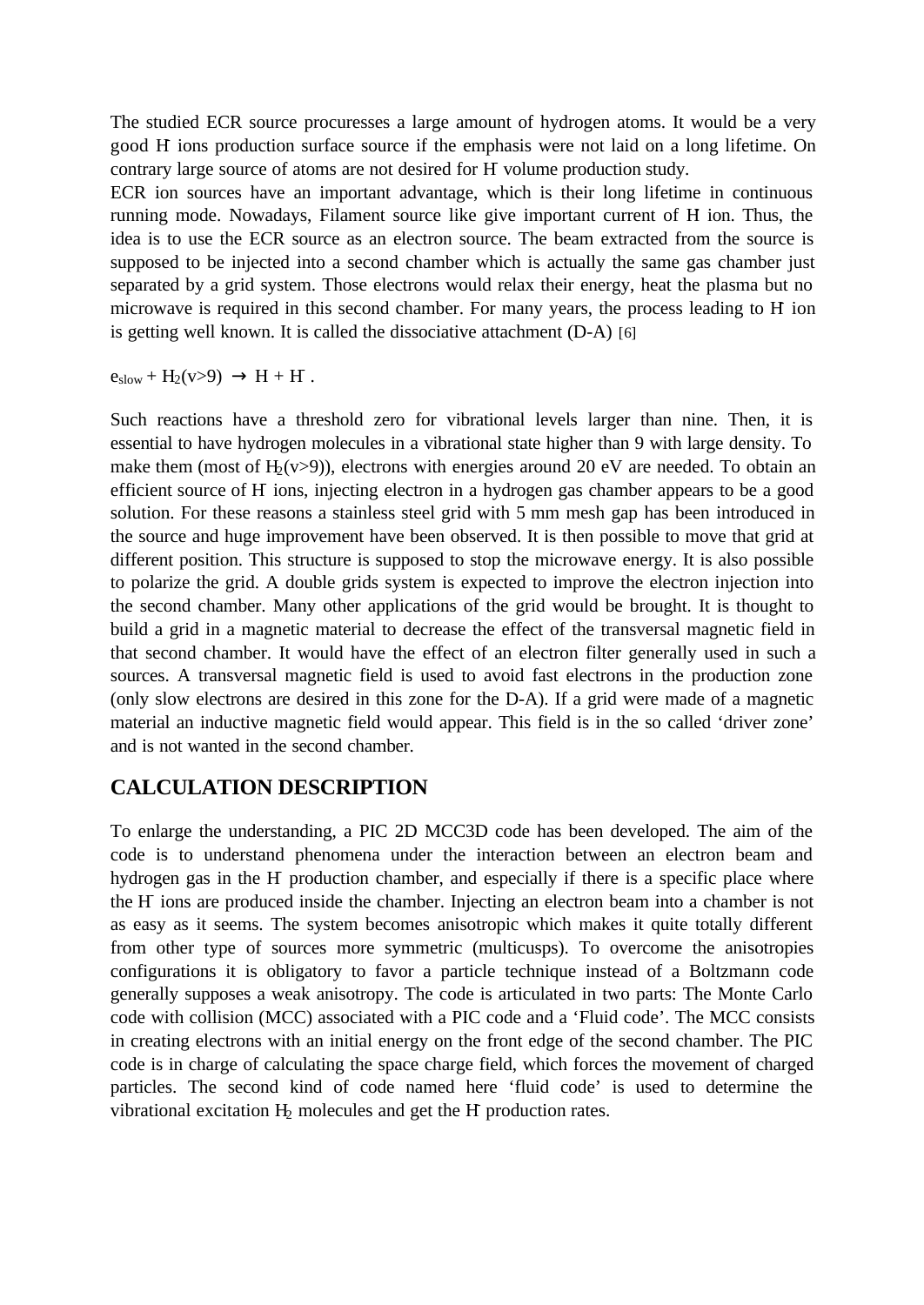The studied ECR source procuresses a large amount of hydrogen atoms. It would be a very good H- ions production surface source if the emphasis were not laid on a long lifetime. On contrary large source of atoms are not desired for H volume production study.

ECR ion sources have an important advantage, which is their long lifetime in continuous running mode. Nowadays, Filament source like give important current of H- ion. Thus, the idea is to use the ECR source as an electron source. The beam extracted from the source is supposed to be injected into a second chamber which is actually the same gas chamber just separated by a grid system. Those electrons would relax their energy, heat the plasma but no microwave is required in this second chamber. For many years, the process leading to H- ion is getting well known. It is called the dissociative attachment (D-A) [6]

 $e_{slow}$  +  $H_2(v>9) \rightarrow H + H$ .

Such reactions have a threshold zero for vibrational levels larger than nine. Then, it is essential to have hydrogen molecules in a vibrational state higher than 9 with large density. To make them (most of  $H(y>9)$ ), electrons with energies around 20 eV are needed. To obtain an efficient source of H ions, injecting electron in a hydrogen gas chamber appears to be a good solution. For these reasons a stainless steel grid with 5 mm mesh gap has been introduced in the source and huge improvement have been observed. It is then possible to move that grid at different position. This structure is supposed to stop the microwave energy. It is also possible to polarize the grid. A double grids system is expected to improve the electron injection into the second chamber. Many other applications of the grid would be brought. It is thought to build a grid in a magnetic material to decrease the effect of the transversal magnetic field in that second chamber. It would have the effect of an electron filter generally used in such a sources. A transversal magnetic field is used to avoid fast electrons in the production zone (only slow electrons are desired in this zone for the D-A). If a grid were made of a magnetic material an inductive magnetic field would appear. This field is in the so called 'driver zone' and is not wanted in the second chamber.

## **CALCULATION DESCRIPTION**

To enlarge the understanding, a PIC 2D MCC3D code has been developed. The aim of the code is to understand phenomena under the interaction between an electron beam and hydrogen gas in the H-production chamber, and especially if there is a specific place where the H ions are produced inside the chamber. Injecting an electron beam into a chamber is not as easy as it seems. The system becomes anisotropic which makes it quite totally different from other type of sources more symmetric (multicusps). To overcome the anisotropies configurations it is obligatory to favor a particle technique instead of a Boltzmann code generally supposes a weak anisotropy. The code is articulated in two parts: The Monte Carlo code with collision (MCC) associated with a PIC code and a 'Fluid code'. The MCC consists in creating electrons with an initial energy on the front edge of the second chamber. The PIC code is in charge of calculating the space charge field, which forces the movement of charged particles. The second kind of code named here 'fluid code' is used to determine the vibrational excitation  $H_2$  molecules and get the  $H$  production rates.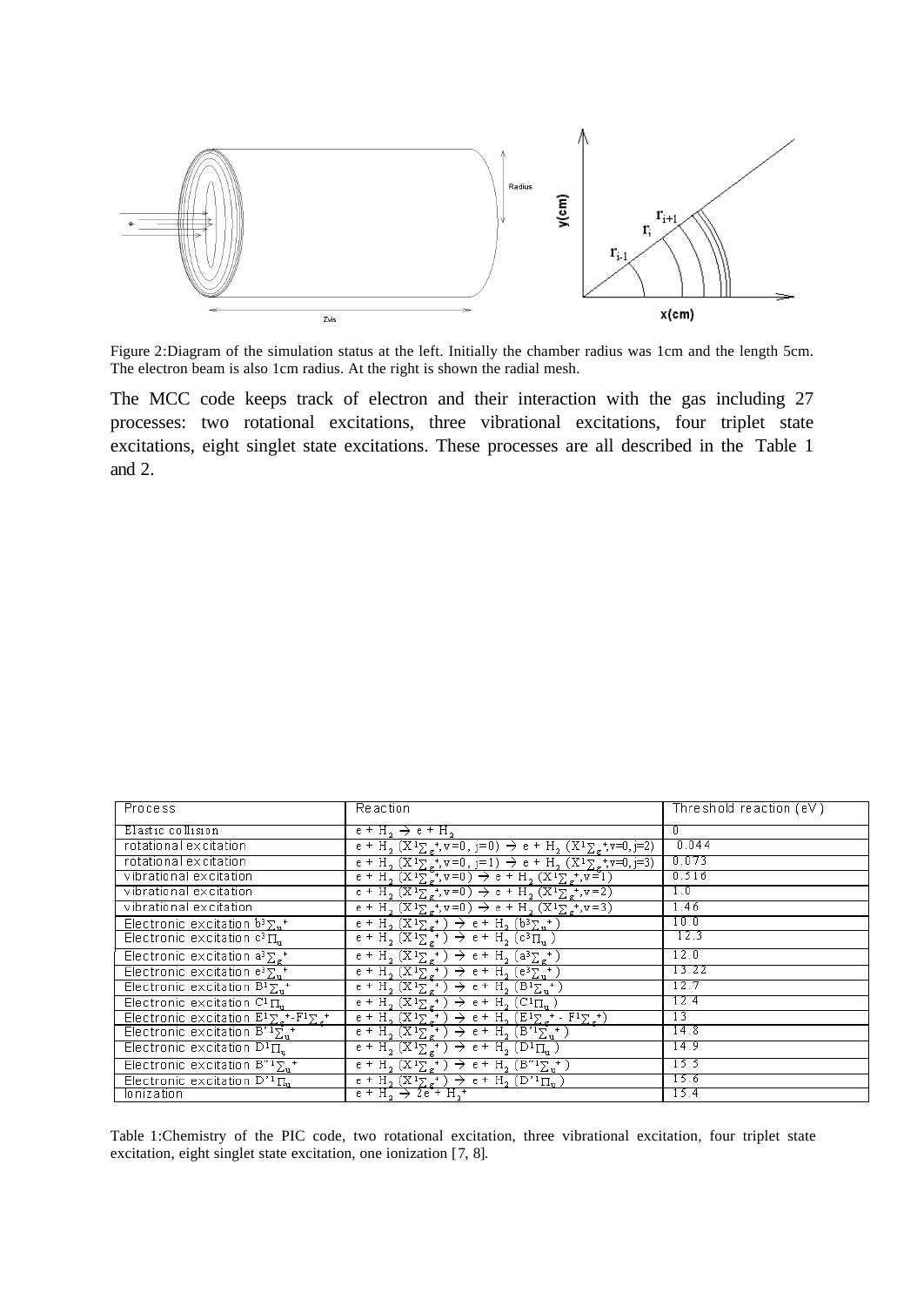

Figure 2:Diagram of the simulation status at the left. Initially the chamber radius was 1cm and the length 5cm. The electron beam is also 1cm radius. At the right is shown the radial mesh.

The MCC code keeps track of electron and their interaction with the gas including 27 processes: two rotational excitations, three vibrational excitations, four triplet state excitations, eight singlet state excitations. These processes are all described in the Table 1 and 2.

| Process                                                                                                 | <b>Reaction</b>                                                                                                                                                                             | Threshold reaction (eV) |
|---------------------------------------------------------------------------------------------------------|---------------------------------------------------------------------------------------------------------------------------------------------------------------------------------------------|-------------------------|
| Elastic collision                                                                                       | е + Н, → е + Н,                                                                                                                                                                             | л.                      |
| rotational excitation                                                                                   | $\overline{e + H_2(X^1\Sigma_g^+, v=0, j=0)} \rightarrow e + H_2(X^1\Sigma_g^+, v=0, j=2)$                                                                                                  | 0.044                   |
| rotational excitation                                                                                   |                                                                                                                                                                                             | 0.073                   |
| vibrational excitation                                                                                  | $\frac{e + H_2 (X_1 \overline{Y}_e^+, v=0, j=1) \rightarrow e + H_2 (X_1 \overline{Y}_e^+, v=0, j=3)}{e + H_2 (X_1 \overline{Y}_e^+, v=0) \rightarrow e + H_2 (X_1 \overline{Y}_e^+, v=1)}$ | 0.516                   |
| vibrational excitation                                                                                  | $e + H_2 (X^1 \Sigma_{\varepsilon}; v=0) \rightarrow e + H_2 (X^1 \Sigma_{\varepsilon}; v=2)$                                                                                               | 1.0                     |
| vibrational excitation                                                                                  | $e + H_2 (X^1 \Sigma_{s}^+, v=0) \rightarrow e + H_2 (X^1 \Sigma_{s}^-, v=3)$                                                                                                               | 1.46                    |
| Electronic excitation $b^3\Sigma_n$ <sup>+</sup>                                                        | $e + H_2 (X^1 \Sigma_{\varepsilon}^+) \rightarrow e + H_2 (b^3 \Sigma_{\nu}^+)$                                                                                                             | 10.0                    |
| Electronic excitation $c^3\Pi_n$                                                                        | $e + H_2^-(X^1\Sigma_{\epsilon}^+) \rightarrow e + H_2^-(c^3\Pi_u)$                                                                                                                         | 12.3                    |
| Electronic excitation $a^3\Sigma_g$ <sup>+</sup>                                                        | $e + H_2(X^1\Sigma_{\sigma}^+) \to e + H_2(a^3\Sigma_{\sigma}^+)$                                                                                                                           | 12.0                    |
| Electronic excitation $e^3\Sigma_n$ <sup>+</sup>                                                        | $e + H_2(X_1\Sigma_{\varepsilon}^+) \to e + H_2(e_1\Sigma_{\varepsilon}^+)$                                                                                                                 | 13.22                   |
| Electronic excitation $B^1\Sigma_n$ <sup>+</sup>                                                        | $e + H_2(X^1\Sigma_*^+) \to e + H_2(B^1\Sigma_*^+)$                                                                                                                                         | 12.7                    |
| Electronic excitation $C^1\Pi_n$                                                                        | $e$ + H <sub>2</sub> (X <sup>1</sup> $\sum_{\epsilon}$ <sup>+</sup> ) $\rightarrow$ e + H <sub>2</sub> (C <sup>1</sup> $\Pi$ <sub>u</sub> )                                                 | 12.4                    |
| Electronic excitation $E^1 \Sigma_{\sigma}$ <sup>+</sup> -F <sup>1</sup> $\Sigma_{\sigma}$ <sup>+</sup> | $e + H_2 (X^1 \Sigma^{-+}_{s}) \rightarrow e + H_2 (E^1 \Sigma^{-+}_{s} - F^1 \Sigma^{-+}_{s})$                                                                                             | $\overline{13}$         |
| Electronic excitation $B^{\prime 1} \overline{\Sigma}_{n}^+$                                            | $e + H_2(X^{1} \overline{\Sigma_{g}}^{+}) \rightarrow e + H_2(B^{1} \overline{\Sigma_{u}}^{+})$                                                                                             | 14.8                    |
| Electronic excitation $D^1\Pi_n$                                                                        | $e + H_2(X_1\Sigma_{\varepsilon}^+) \to e + H_2(D_1\Pi_{\varepsilon})$                                                                                                                      | 14.9                    |
| Electronic excitation $B''^{1}\Sigma_{n}$ <sup>+</sup>                                                  | $e + H_2(X^1\Sigma_{s}^+) \to e + H_2(B^2^1\Sigma_{s}^+)$                                                                                                                                   | 15.5                    |
| Electronic excitation $D^{\prime 1}\Pi_{n}$                                                             | $e + H_2(X^1\Sigma_{s}^{-1}) \rightarrow e + H_2(D^1\Pi_{n})$                                                                                                                               | 15.6                    |
| lonization                                                                                              | e + H , → 2e + H ,+                                                                                                                                                                         | 15.4                    |

Table 1:Chemistry of the PIC code, two rotational excitation, three vibrational excitation, four triplet state excitation, eight singlet state excitation, one ionization [7, 8].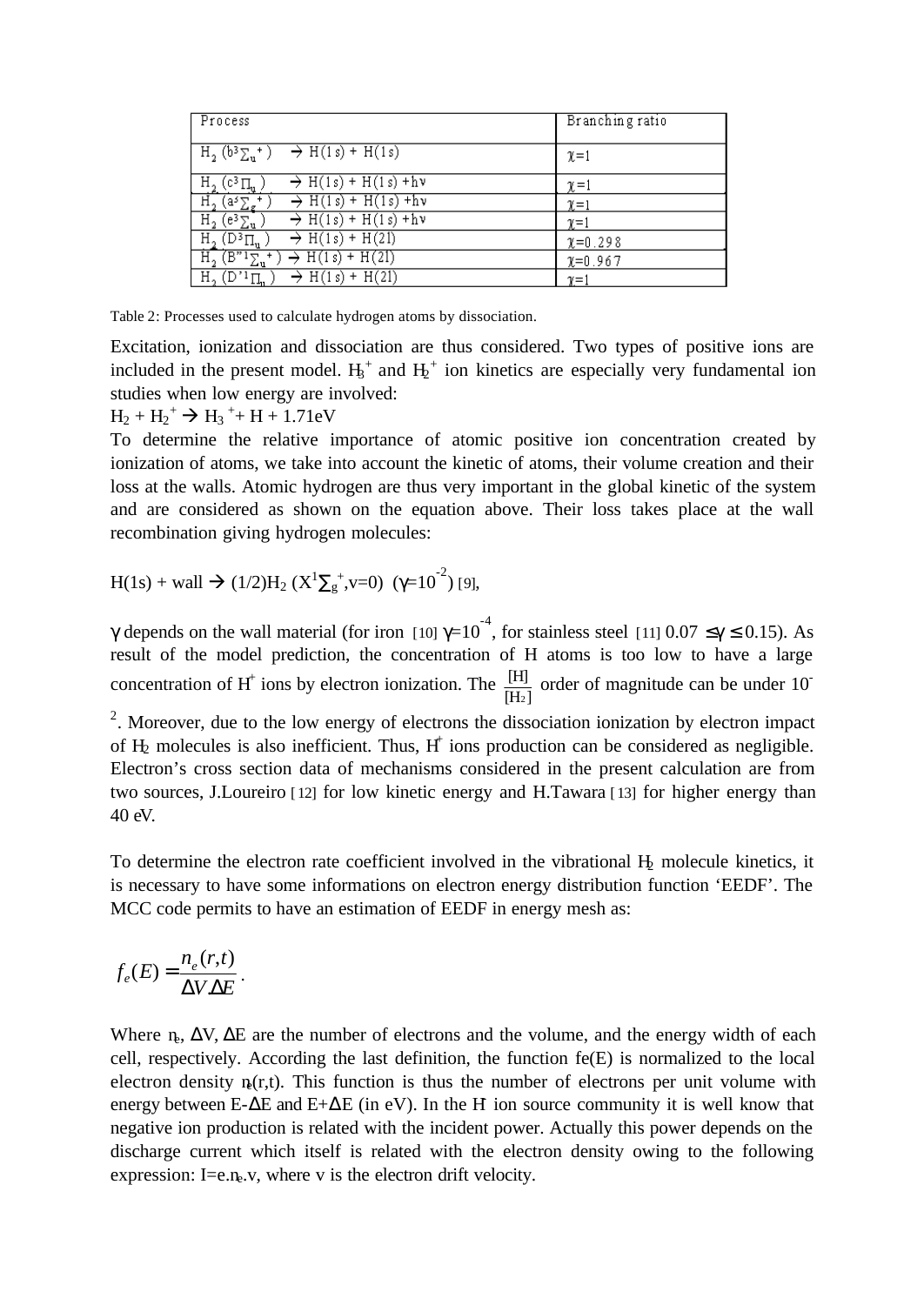| Process                                                                                  | Branching ratio |
|------------------------------------------------------------------------------------------|-----------------|
| $H_2$ (b <sup>3</sup> $\Sigma_n$ <sup>+</sup> ) $\rightarrow$ H(1s) + H(1s)              | $\chi=1$        |
| $\rightarrow$ H(1s) + H(1s) +hv<br>$H_{\overline{2}}$<br>$(0^3 \Pi_u)^2$                 | $\chi = 1$      |
| $\rightarrow$ H(1s) + H(1s) +hv<br>Н.,<br>۰<br>(asy.                                     | $\chi=1$        |
| $H_2$ (e <sup>3</sup> $\Sigma$<br>$\rightarrow$ H(1s) + H(1s) +hv                        | $\chi=1$        |
| $\rightarrow$ H(1s) + H(21)<br>Н,<br>$(D^3\Pi_{\rm u})$                                  | $\chi = 0.298$  |
| $\rightarrow$ H(1s) + H(2I)<br>Н,<br>$\left(\mathbb{B}^n 1_{\sum_{\mathbf{u}}^+}\right)$ | $X=0.967$       |
| Н,<br>$\rightarrow$ H(1s) + H(21)<br>$^{\prime 1}$ H                                     | $\gamma = 1$    |

Table 2: Processes used to calculate hydrogen atoms by dissociation.

Excitation, ionization and dissociation are thus considered. Two types of positive ions are included in the present model.  $H_3^+$  and  $H_2^+$  ion kinetics are especially very fundamental ion studies when low energy are involved:

 $H_2 + H_2^+ \rightarrow H_3^+ + H + 1.71eV$ 

To determine the relative importance of atomic positive ion concentration created by ionization of atoms, we take into account the kinetic of atoms, their volume creation and their loss at the walls. Atomic hydrogen are thus very important in the global kinetic of the system and are considered as shown on the equation above. Their loss takes place at the wall recombination giving hydrogen molecules:

H(1s) + wall → (1/2)H<sub>2</sub> (X<sup>1</sup>Σ<sub>g</sub><sup>+</sup>,v=0) (γ=10<sup>-2</sup>)[9],

γ depends on the wall material (for iron [10]  $\gamma=10^{-4}$ , for stainless steel [11] 0.07  $\leq \gamma \leq$  0.15). As result of the model prediction, the concentration of H atoms is too low to have a large concentration of H<sup>+</sup> ions by electron ionization. The  $\frac{[H]}{[H_2]}$ [H]  $\frac{[1]}{[2]}$  order of magnitude can be under 10<sup>-</sup>

 $2$ . Moreover, due to the low energy of electrons the dissociation ionization by electron impact of  $H_2$  molecules is also inefficient. Thus,  $H^+$  ions production can be considered as negligible. Electron's cross section data of mechanisms considered in the present calculation are from two sources, J.Loureiro [ 12] for low kinetic energy and H.Tawara [ 13] for higher energy than 40 eV.

To determine the electron rate coefficient involved in the vibrational H<sub>2</sub> molecule kinetics, it is necessary to have some informations on electron energy distribution function 'EEDF'. The MCC code permits to have an estimation of EEDF in energy mesh as:

$$
f_e(E) = \frac{n_e(r,t)}{\Delta V \Delta E}.
$$

Where  $n_{\rm e}$ ,  $\Delta V$ ,  $\Delta E$  are the number of electrons and the volume, and the energy width of each cell, respectively. According the last definition, the function fe(E) is normalized to the local electron density  $\mathbf{p}(r,t)$ . This function is thus the number of electrons per unit volume with energy between E- $\Delta E$  and E+ $\Delta E$  (in eV). In the H ion source community it is well know that negative ion production is related with the incident power. Actually this power depends on the discharge current which itself is related with the electron density owing to the following expression:  $I=e.n_e.v$ , where v is the electron drift velocity.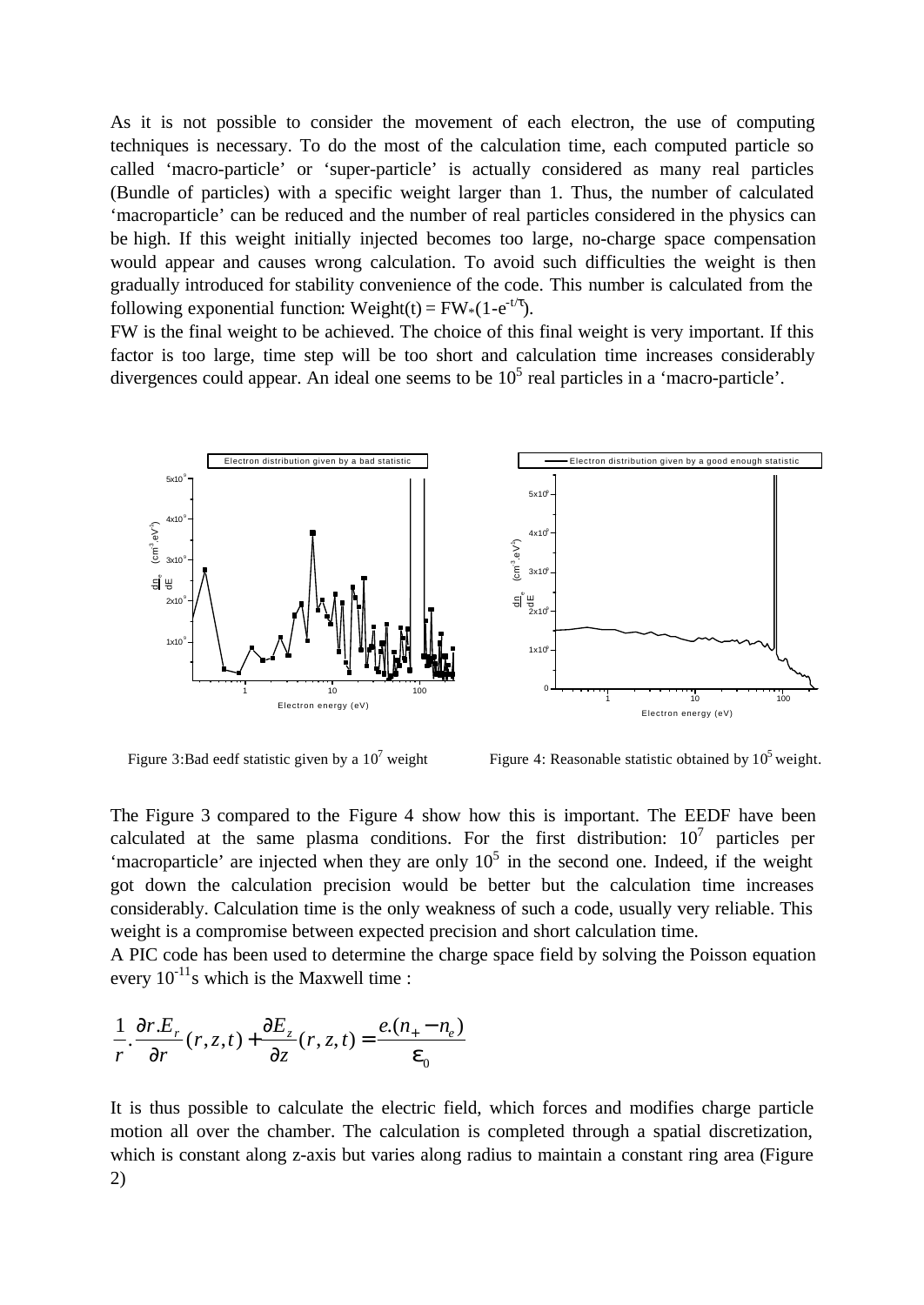As it is not possible to consider the movement of each electron, the use of computing techniques is necessary. To do the most of the calculation time, each computed particle so called 'macro-particle' or 'super-particle' is actually considered as many real particles (Bundle of particles) with a specific weight larger than 1. Thus, the number of calculated 'macroparticle' can be reduced and the number of real particles considered in the physics can be high. If this weight initially injected becomes too large, no-charge space compensation would appear and causes wrong calculation. To avoid such difficulties the weight is then gradually introduced for stability convenience of the code. This number is calculated from the following exponential function:  $Weight(t) = FW*(1-e^{-t/\tau})$ .

FW is the final weight to be achieved. The choice of this final weight is very important. If this factor is too large, time step will be too short and calculation time increases considerably divergences could appear. An ideal one seems to be  $10<sup>5</sup>$  real particles in a 'macro-particle'.



Figure 3:Bad eedf statistic given by a  $10^7$  weight

Figure 4: Reasonable statistic obtained by  $10^5$  weight.

The Figure 3 compared to the Figure 4 show how this is important. The EEDF have been calculated at the same plasma conditions. For the first distribution:  $10^7$  particles per 'macroparticle' are injected when they are only  $10<sup>5</sup>$  in the second one. Indeed, if the weight got down the calculation precision would be better but the calculation time increases considerably. Calculation time is the only weakness of such a code, usually very reliable. This weight is a compromise between expected precision and short calculation time.

A PIC code has been used to determine the charge space field by solving the Poisson equation every  $10^{-11}$ s which is the Maxwell time :

$$
\frac{1}{r} \cdot \frac{\partial r \cdot E_r}{\partial r}(r, z, t) + \frac{\partial E_z}{\partial z}(r, z, t) = \frac{e \cdot (n_+ - n_e)}{e_0}
$$

It is thus possible to calculate the electric field, which forces and modifies charge particle motion all over the chamber. The calculation is completed through a spatial discretization, which is constant along z-axis but varies along radius to maintain a constant ring area (Figure 2)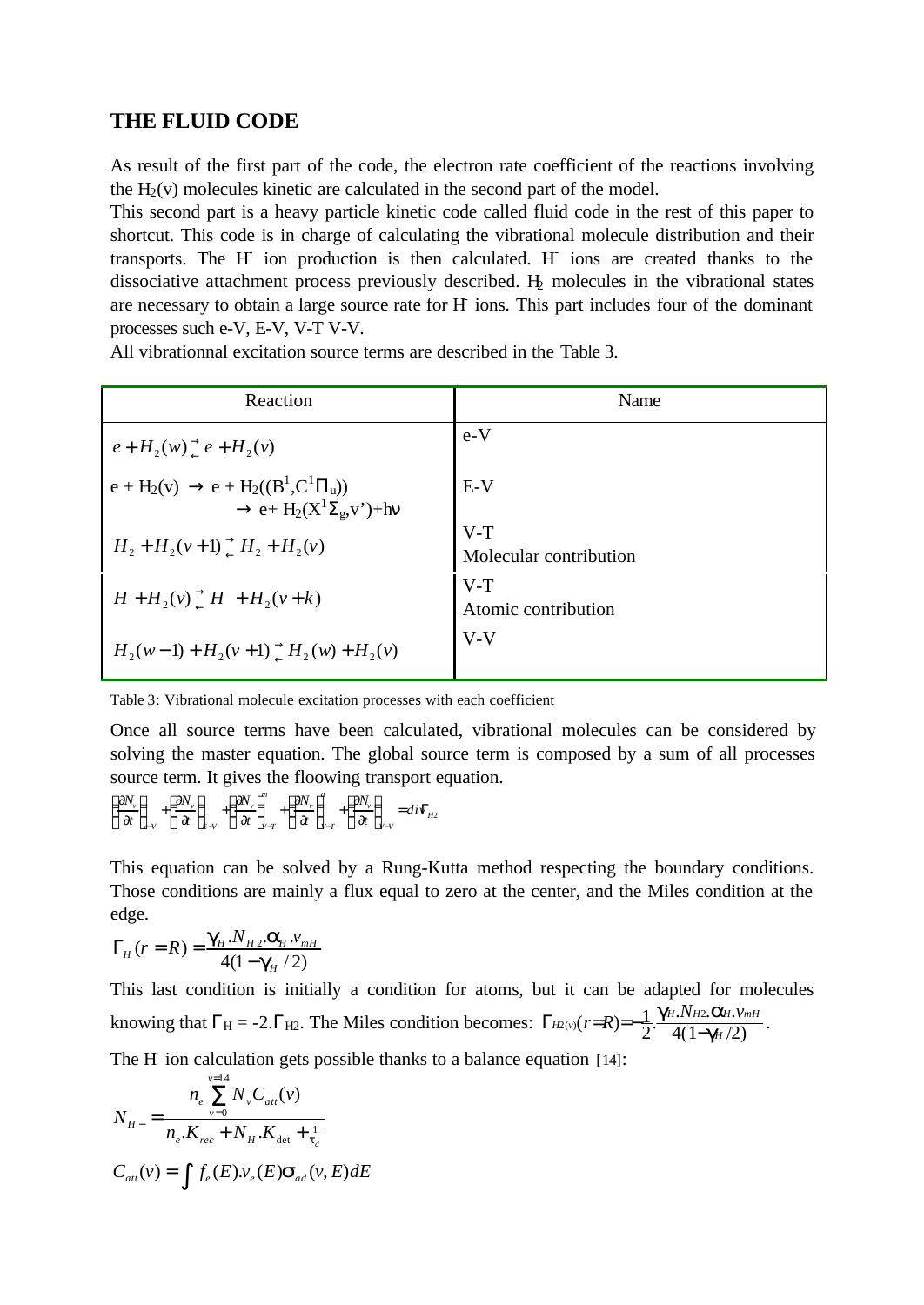#### **THE FLUID CODE**

As result of the first part of the code, the electron rate coefficient of the reactions involving the  $H_2(v)$  molecules kinetic are calculated in the second part of the model.

This second part is a heavy particle kinetic code called fluid code in the rest of this paper to shortcut. This code is in charge of calculating the vibrational molecule distribution and their transports. The H ion production is then calculated. H ions are created thanks to the dissociative attachment process previously described. H<sub>2</sub> molecules in the vibrational states are necessary to obtain a large source rate for H- ions. This part includes four of the dominant processes such e-V, E-V, V-T V-V.

All vibrationnal excitation source terms are described in the Table 3.

| Reaction                                                                                          | Name                            |
|---------------------------------------------------------------------------------------------------|---------------------------------|
| $e + H_2(w) - e + H_2(v)$                                                                         | $e-V$                           |
| $e + H_2(v) \rightarrow e + H_2((B^1, C^1\Pi_u))$<br>$\rightarrow e + H_2(X^1\Sigma_g, v^*) + hv$ | $E-V$                           |
| $H_2 + H_2(v+1)^{-1} H_2 + H_2(v)$                                                                | $V-T$<br>Molecular contribution |
| $H + H_2(v) - H + H_2(v + k)$                                                                     | $V-T$<br>Atomic contribution    |
| $H_2(w-1) + H_2(v+1) - H_2(w) + H_2(v)$                                                           | $V-V$                           |

| Table 3: Vibrational molecule excitation processes with each coefficient |  |
|--------------------------------------------------------------------------|--|
|--------------------------------------------------------------------------|--|

Once all source terms have been calculated, vibrational molecules can be considered by solving the master equation. The global source term is composed by a sum of all processes source term. It gives the floowing transport equation.

$$
\left(\frac{\partial N_{\nu}}{\partial t}\right)_{\!\!\!\nu-\nu}+\left(\frac{\partial N_{\nu}}{\partial t}\right)_{\!\!\!\!E-V}+\left(\frac{\partial N_{\nu}}{\partial t}\right)_{\!\!\!\!V-T}^m+\left(\frac{\partial N_{\nu}}{\partial t}\right)_{\!\!\!\!V-T}^a+\left(\frac{\partial N_{\nu}}{\partial t}\right)_{\!\!\!\!V-T}=di\,\mathbf{F}_{H2}
$$

This equation can be solved by a Rung-Kutta method respecting the boundary conditions. Those conditions are mainly a flux equal to zero at the center, and the Miles condition at the edge.

$$
\Gamma_{H}(r=R) = \frac{\mathbf{g}_{H} N_{H2} \mathbf{a}_{H} v_{mH}}{4(1 - \mathbf{g}_{H} / 2)}
$$

This last condition is initially a condition for atoms, but it can be adapted for molecules knowing that  $\Gamma_H = -2.\Gamma_{H2}$ . The Miles condition becomes:  $\Gamma_{H2}(v)(r=R) = -\frac{1}{2} \cdot \frac{\mathbf{g}_{H} N_{H2} \cdot \mathbf{a}_{H} v_h}{4(1 - \mathbf{g}_H/2)}$  $H_{H2(v)}(r=R) = -\frac{1}{2} \cdot \frac{\mathbf{g}_{H} N_{H2} \cdot \mathbf{a}_{H} N_{mH}}{4(1-\mathbf{g}_{H}/2)}$  $\boldsymbol{g}_{\!\scriptscriptstyle H}$ .N $_{\scriptscriptstyle H2}$ .a  $\Gamma_{H2(v)}(r=R) = -\frac{1}{2} \cdot \frac{\mathbf{g}_{H,IVH2,CH1,V}m_{H1}}{4(1-\mathbf{g}_{H}/2)}$ .

The H ion calculation gets possible thanks to a balance equation [14]:

$$
N_{H-} = \frac{n_e \sum_{v=0}^{v=14} N_v C_{att}(v)}{n_e.K_{rec} + N_H.K_{det} + \frac{1}{t_d}}
$$
  

$$
C_{att}(v) = \int f_e(E) . v_e(E) S_{ad}(v, E) dE
$$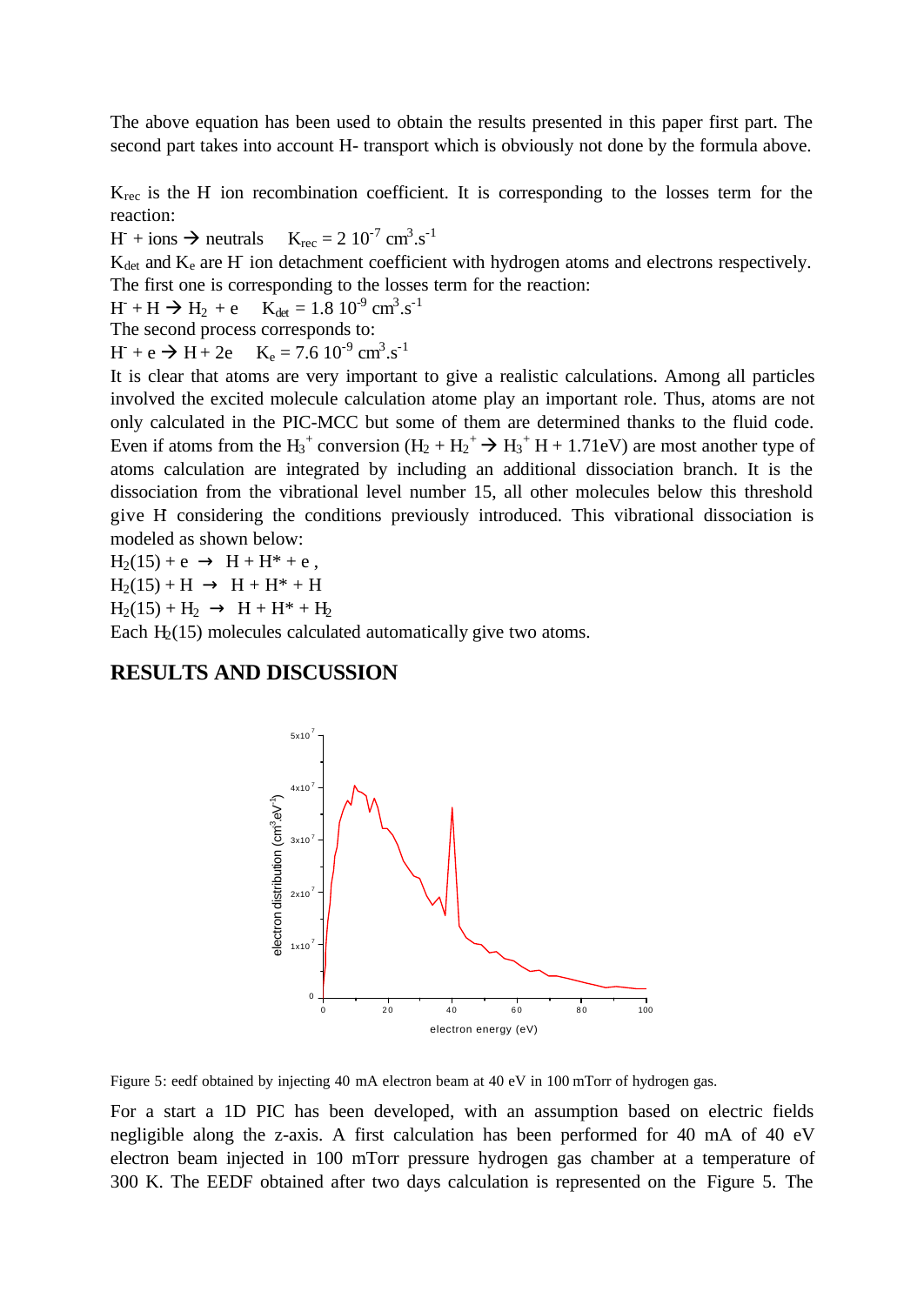The above equation has been used to obtain the results presented in this paper first part. The second part takes into account H- transport which is obviously not done by the formula above.

 $K_{\text{rec}}$  is the H- ion recombination coefficient. It is corresponding to the losses term for the reaction:

H - + ions  $\rightarrow$  neutrals  $K_{\text{rec}} = 2.10^{-7} \text{ cm}^3 \text{.} \text{s}^{-1}$ 

 $K_{\text{det}}$  and  $K_{\text{e}}$  are H ion detachment coefficient with hydrogen atoms and electrons respectively. The first one is corresponding to the losses term for the reaction:

H -  $+ H \rightarrow H_2 + e \quad K_{det} = 1.8 \, 10^{-9} \, \text{cm}^3 \cdot \text{s}^{-1}$ 

The second process corresponds to:

H -  $+ e \rightarrow H + 2e$   $K_e = 7.6 10^{-9} cm^3 \cdot s^{-1}$ 

It is clear that atoms are very important to give a realistic calculations. Among all particles involved the excited molecule calculation atome play an important role. Thus, atoms are not only calculated in the PIC-MCC but some of them are determined thanks to the fluid code. Even if atoms from the  $H_3^+$  conversion  $(H_2 + H_2^+ \rightarrow H_3^+ H + 1.71$ eV) are most another type of atoms calculation are integrated by including an additional dissociation branch. It is the dissociation from the vibrational level number 15, all other molecules below this threshold give H- considering the conditions previously introduced. This vibrational dissociation is modeled as shown below:

 $H_2(15) + e \rightarrow H + H^* + e$ ,  $H_2(15) + H \rightarrow H + H^* + H$  $H_2(15) + H_2 \rightarrow H + H^* + H_2$ 

Each  $H<sub>2</sub>(15)$  molecules calculated automatically give two atoms.

#### **RESULTS AND DISCUSSION**



Figure 5: eedf obtained by injecting 40 mA electron beam at 40 eV in 100 mTorr of hydrogen gas.

For a start a 1D PIC has been developed, with an assumption based on electric fields negligible along the z-axis. A first calculation has been performed for 40 mA of 40 eV electron beam injected in 100 mTorr pressure hydrogen gas chamber at a temperature of 300 K. The EEDF obtained after two days calculation is represented on the Figure 5. The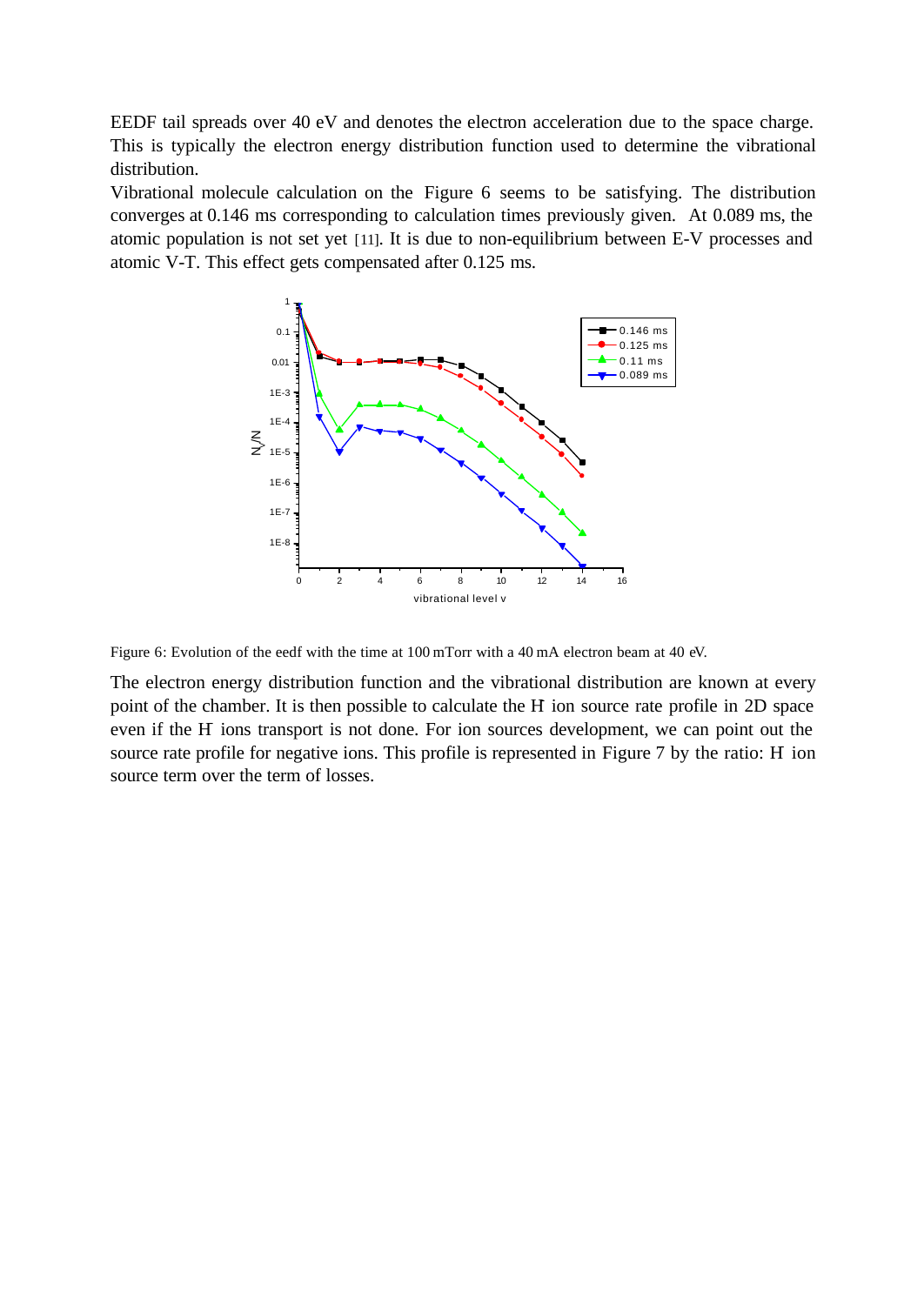EEDF tail spreads over 40 eV and denotes the electron acceleration due to the space charge. This is typically the electron energy distribution function used to determine the vibrational distribution.

Vibrational molecule calculation on the Figure 6 seems to be satisfying. The distribution converges at 0.146 ms corresponding to calculation times previously given. At 0.089 ms, the atomic population is not set yet [11]. It is due to non-equilibrium between E-V processes and atomic V-T. This effect gets compensated after 0.125 ms.



Figure 6: Evolution of the eedf with the time at 100 mTorr with a 40 mA electron beam at 40 eV.

The electron energy distribution function and the vibrational distribution are known at every point of the chamber. It is then possible to calculate the H ion source rate profile in 2D space even if the H ions transport is not done. For ion sources development, we can point out the source rate profile for negative ions. This profile is represented in Figure 7 by the ratio: H ion source term over the term of losses.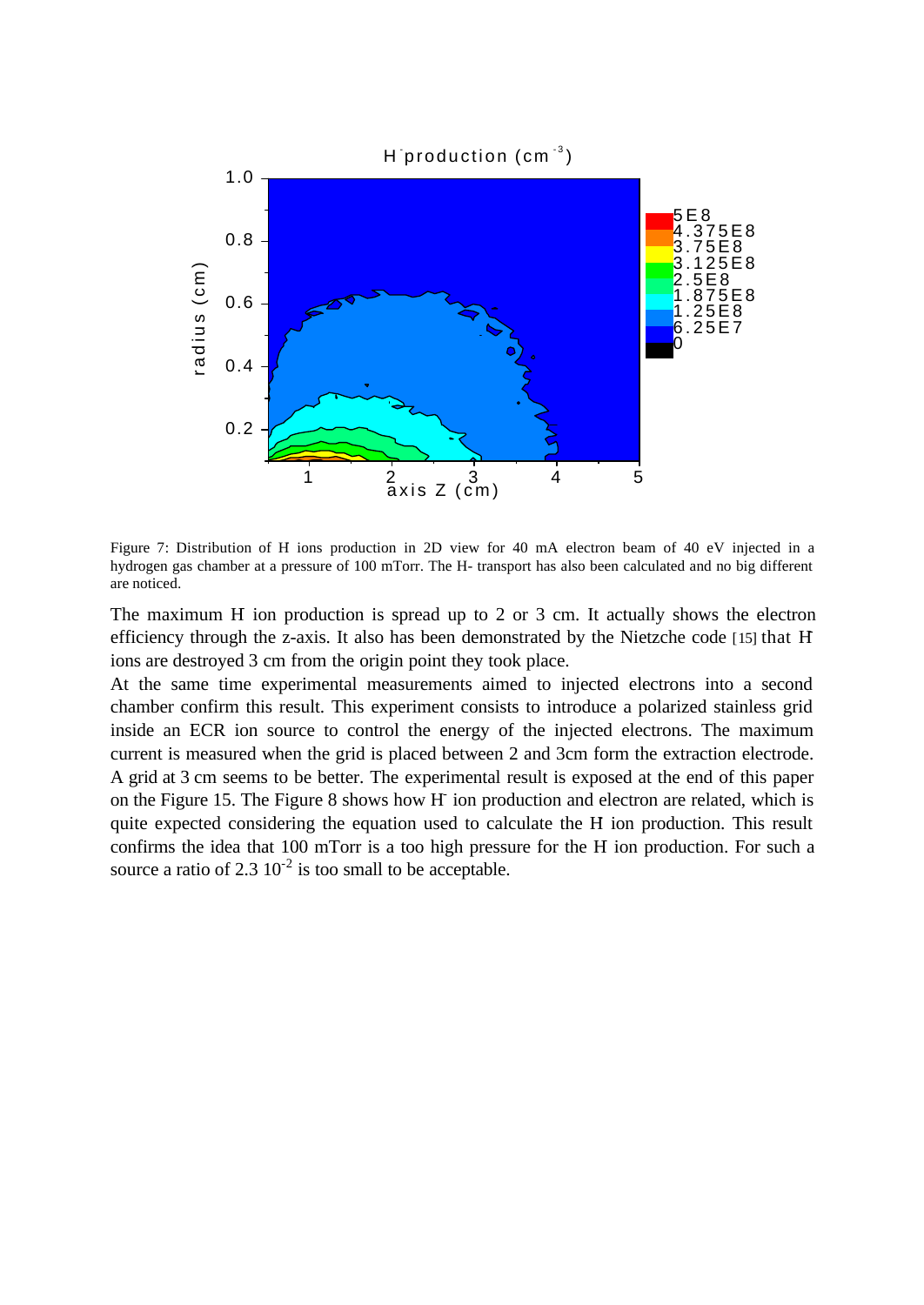

Figure 7: Distribution of H ions production in 2D view for 40 mA electron beam of 40 eV injected in a hydrogen gas chamber at a pressure of 100 mTorr. The H- transport has also been calculated and no big different are noticed.

The maximum H ion production is spread up to 2 or 3 cm. It actually shows the electron efficiency through the z-axis. It also has been demonstrated by the Nietzche code [15] that Hions are destroyed 3 cm from the origin point they took place.

At the same time experimental measurements aimed to injected electrons into a second chamber confirm this result. This experiment consists to introduce a polarized stainless grid inside an ECR ion source to control the energy of the injected electrons. The maximum current is measured when the grid is placed between 2 and 3cm form the extraction electrode. A grid at 3 cm seems to be better. The experimental result is exposed at the end of this paper on the Figure 15. The Figure 8 shows how H- ion production and electron are related, which is quite expected considering the equation used to calculate the H- ion production. This result confirms the idea that 100 mTorr is a too high pressure for the H- ion production. For such a source a ratio of  $2.3 \times 10^{-2}$  is too small to be acceptable.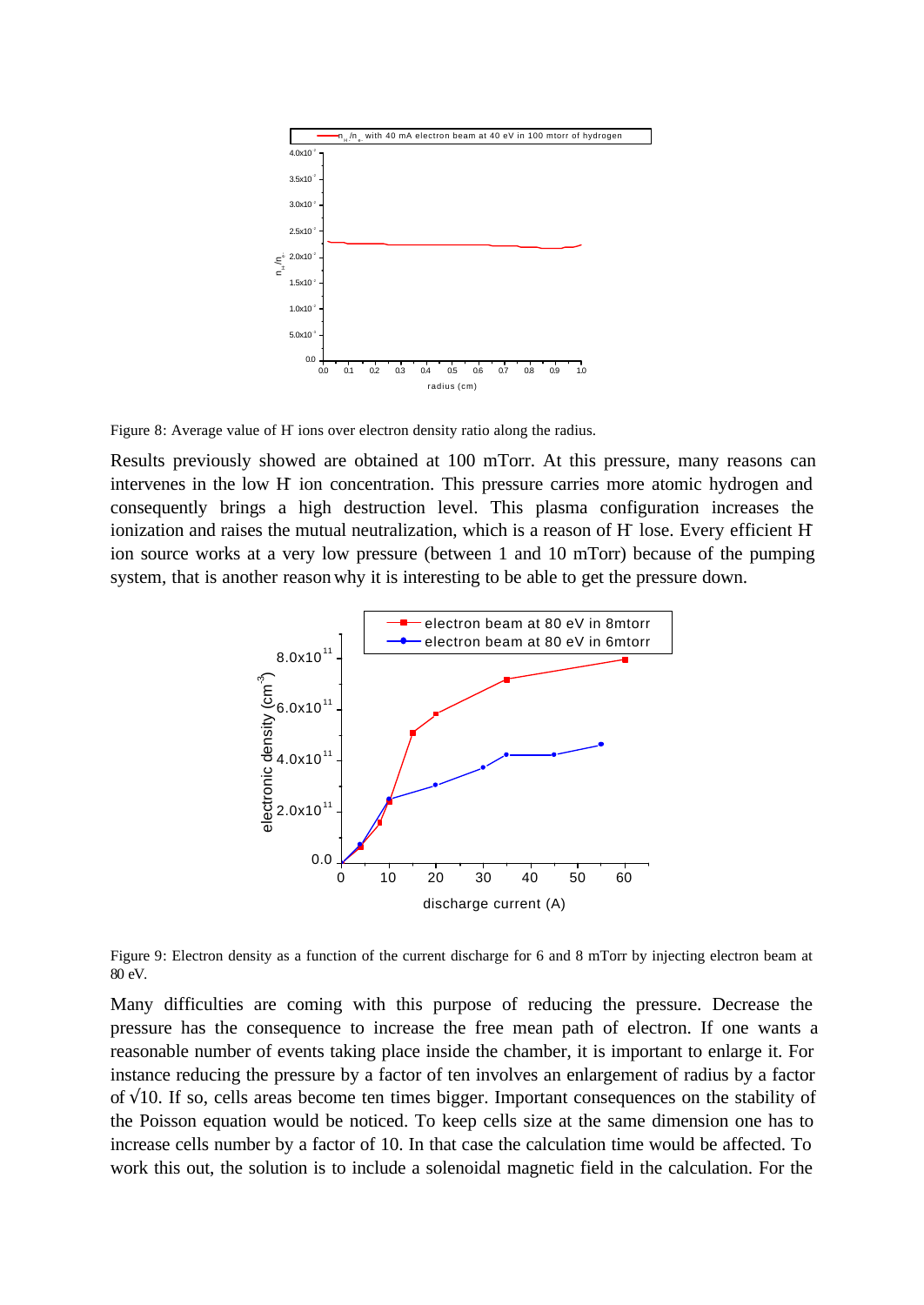

Figure 8: Average value of H ions over electron density ratio along the radius.

Results previously showed are obtained at 100 mTorr. At this pressure, many reasons can intervenes in the low H ion concentration. This pressure carries more atomic hydrogen and consequently brings a high destruction level. This plasma configuration increases the ionization and raises the mutual neutralization, which is a reason of H lose. Every efficient H ion source works at a very low pressure (between 1 and 10 mTorr) because of the pumping system, that is another reason why it is interesting to be able to get the pressure down.



Figure 9: Electron density as a function of the current discharge for 6 and 8 mTorr by injecting electron beam at 80 eV.

Many difficulties are coming with this purpose of reducing the pressure. Decrease the pressure has the consequence to increase the free mean path of electron. If one wants a reasonable number of events taking place inside the chamber, it is important to enlarge it. For instance reducing the pressure by a factor of ten involves an enlargement of radius by a factor of  $\sqrt{10}$ . If so, cells areas become ten times bigger. Important consequences on the stability of the Poisson equation would be noticed. To keep cells size at the same dimension one has to increase cells number by a factor of 10. In that case the calculation time would be affected. To work this out, the solution is to include a solenoidal magnetic field in the calculation. For the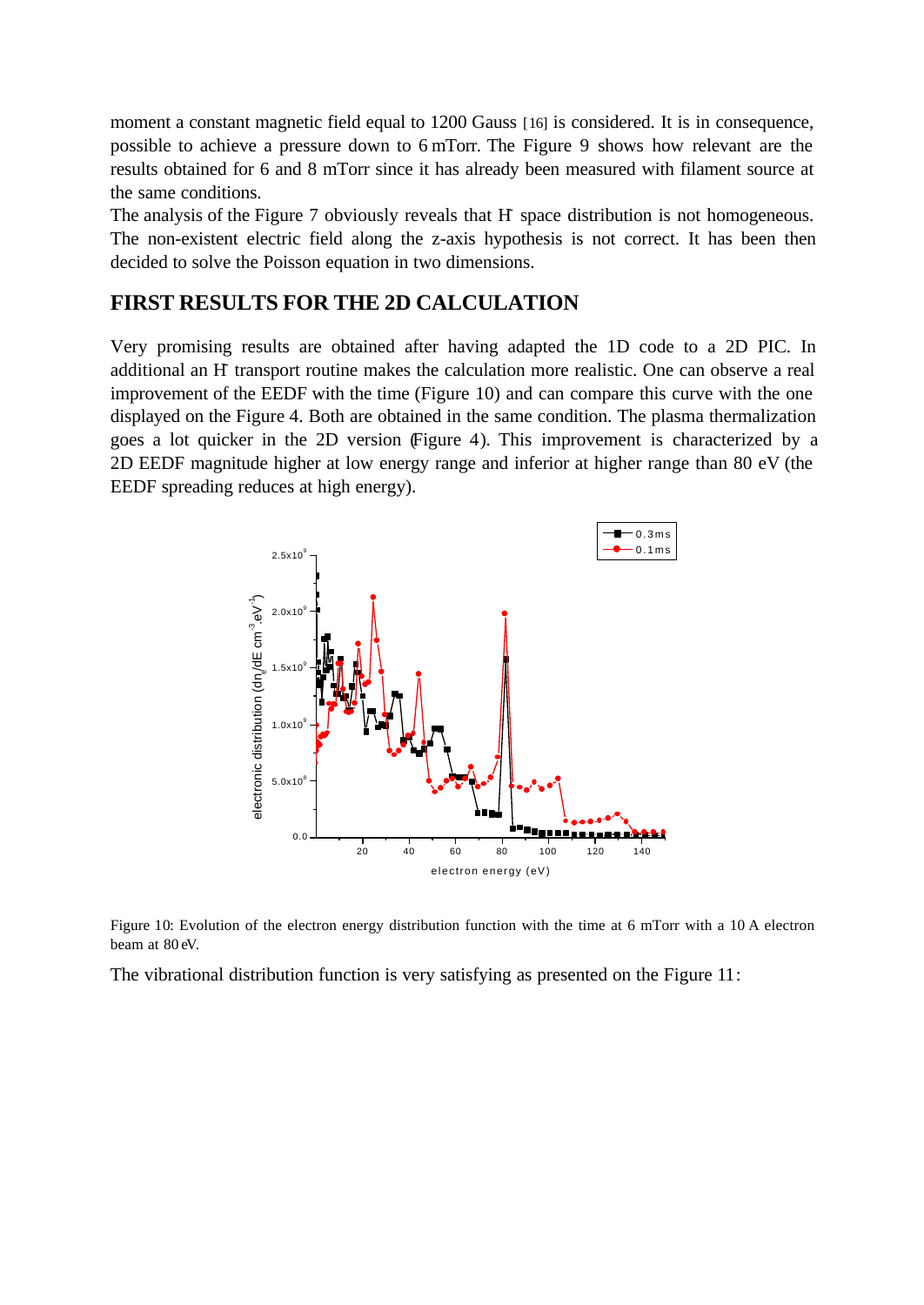moment a constant magnetic field equal to 1200 Gauss [16] is considered. It is in consequence, possible to achieve a pressure down to 6 mTorr. The Figure 9 shows how relevant are the results obtained for 6 and 8 mTorr since it has already been measured with filament source at the same conditions.

The analysis of the Figure 7 obviously reveals that H space distribution is not homogeneous. The non-existent electric field along the z-axis hypothesis is not correct. It has been then decided to solve the Poisson equation in two dimensions.

## **FIRST RESULTS FOR THE 2D CALCULATION**

Very promising results are obtained after having adapted the 1D code to a 2D PIC. In additional an H transport routine makes the calculation more realistic. One can observe a real improvement of the EEDF with the time (Figure 10) and can compare this curve with the one displayed on the Figure 4. Both are obtained in the same condition. The plasma thermalization goes a lot quicker in the 2D version (Figure 4). This improvement is characterized by a 2D EEDF magnitude higher at low energy range and inferior at higher range than 80 eV (the EEDF spreading reduces at high energy).





The vibrational distribution function is very satisfying as presented on the Figure 11: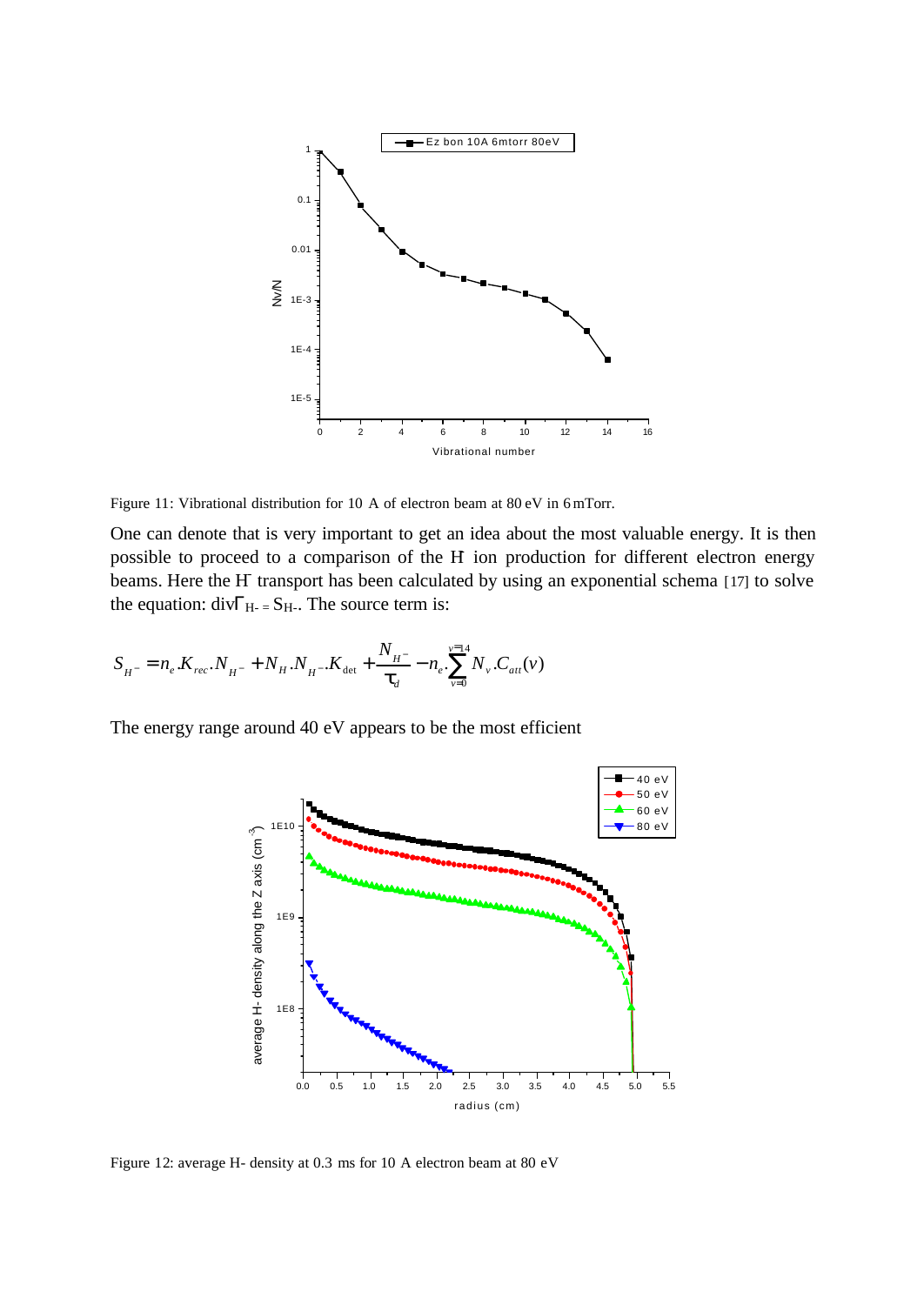

Figure 11: Vibrational distribution for 10 A of electron beam at 80 eV in 6 mTorr.

One can denote that is very important to get an idea about the most valuable energy. It is then possible to proceed to a comparison of the H- ion production for different electron energy beams. Here the H<sup>-</sup> transport has been calculated by using an exponential schema [17] to solve the equation:  $div\Gamma_{H-} = S_{H-}$ . The source term is:

$$
S_{_{H^-}} = n_e . K_{rec} . N_{_{H^-}} + N_{_H} . N_{_{H^-}} . K_{\text{det}} + \frac{N_{_{H^-}}}{\boldsymbol{t}_d} - n_e . \sum_{v=0}^{v=14} N_v . C_{_{att}}(v)
$$

The energy range around 40 eV appears to be the most efficient



Figure 12: average H- density at 0.3 ms for 10 A electron beam at 80 eV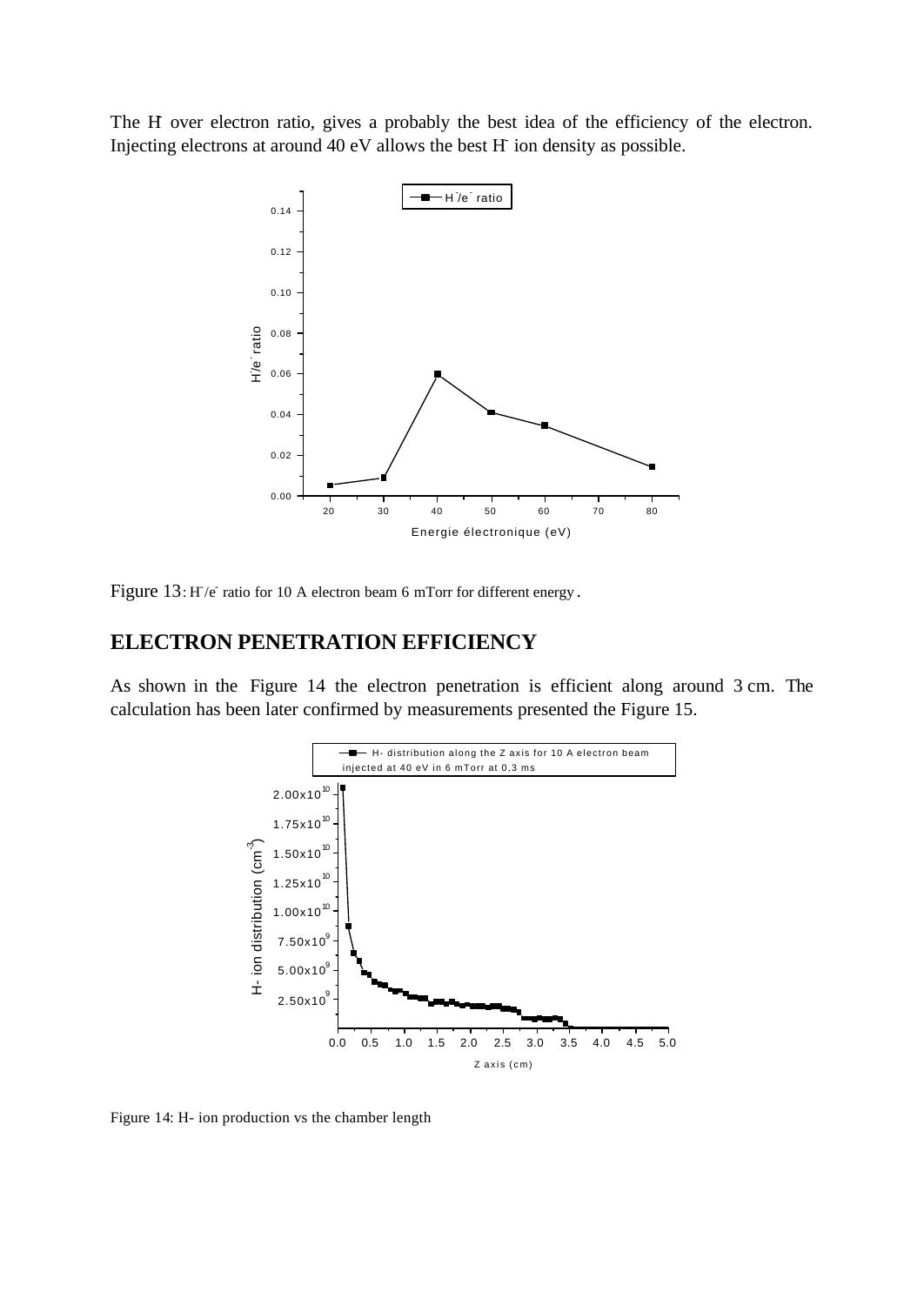The H over electron ratio, gives a probably the best idea of the efficiency of the electron. Injecting electrons at around 40 eV allows the best H- ion density as possible.



Figure 13: H/e ratio for 10 A electron beam 6 mTorr for different energy.

#### **ELECTRON PENETRATION EFFICIENCY**

As shown in the Figure 14 the electron penetration is efficient along around 3 cm. The calculation has been later confirmed by measurements presented the Figure 15.



Figure 14: H- ion production vs the chamber length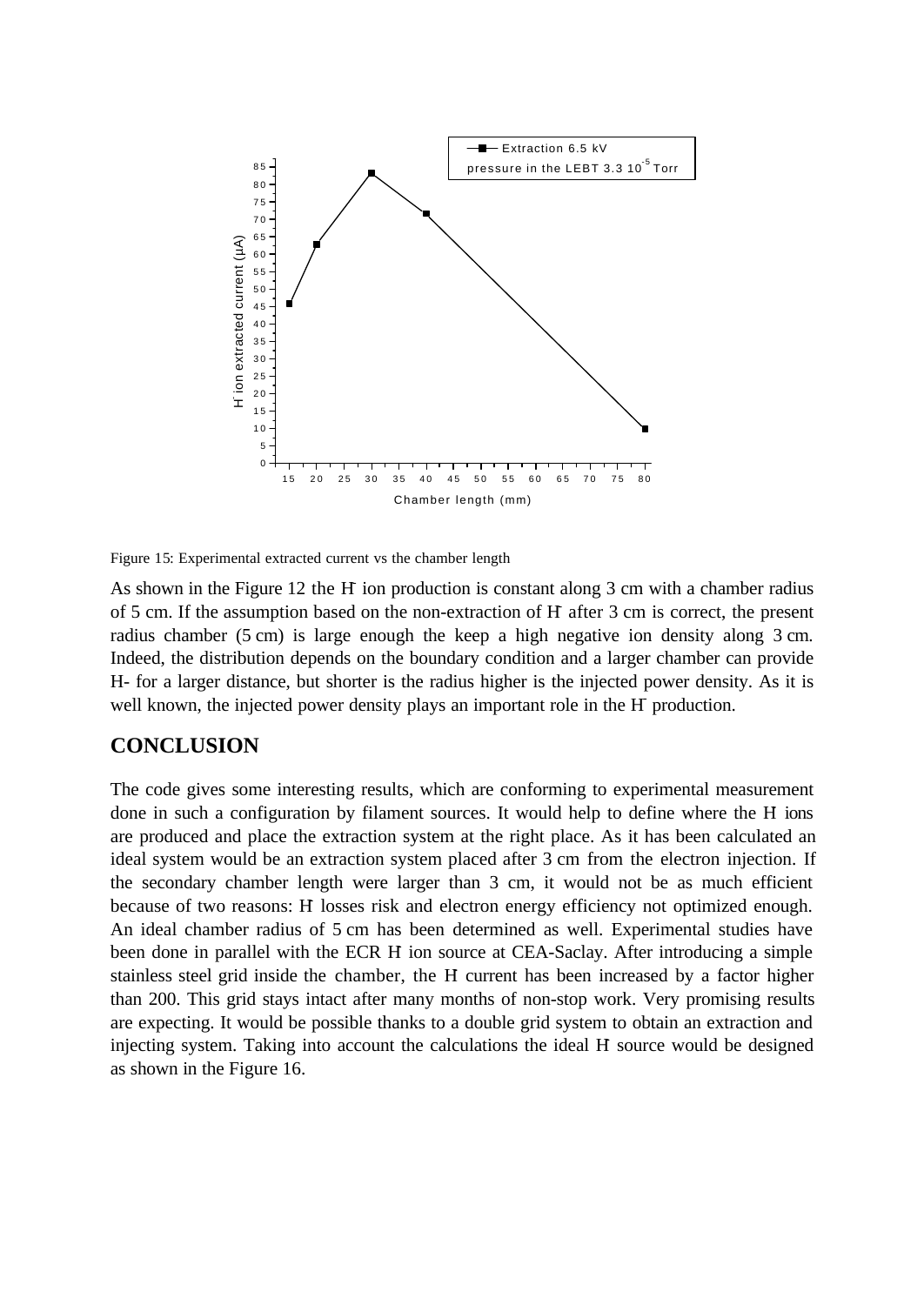

Figure 15: Experimental extracted current vs the chamber length

As shown in the Figure 12 the H ion production is constant along 3 cm with a chamber radius of 5 cm. If the assumption based on the non-extraction of H after 3 cm is correct, the present radius chamber (5 cm) is large enough the keep a high negative ion density along 3 cm. Indeed, the distribution depends on the boundary condition and a larger chamber can provide H- for a larger distance, but shorter is the radius higher is the injected power density. As it is well known, the injected power density plays an important role in the H- production.

## **CONCLUSION**

The code gives some interesting results, which are conforming to experimental measurement done in such a configuration by filament sources. It would help to define where the H ions are produced and place the extraction system at the right place. As it has been calculated an ideal system would be an extraction system placed after 3 cm from the electron injection. If the secondary chamber length were larger than 3 cm, it would not be as much efficient because of two reasons: H losses risk and electron energy efficiency not optimized enough. An ideal chamber radius of 5 cm has been determined as well. Experimental studies have been done in parallel with the ECR H ion source at CEA-Saclay. After introducing a simple stainless steel grid inside the chamber, the H current has been increased by a factor higher than 200. This grid stays intact after many months of non-stop work. Very promising results are expecting. It would be possible thanks to a double grid system to obtain an extraction and injecting system. Taking into account the calculations the ideal H source would be designed as shown in the Figure 16.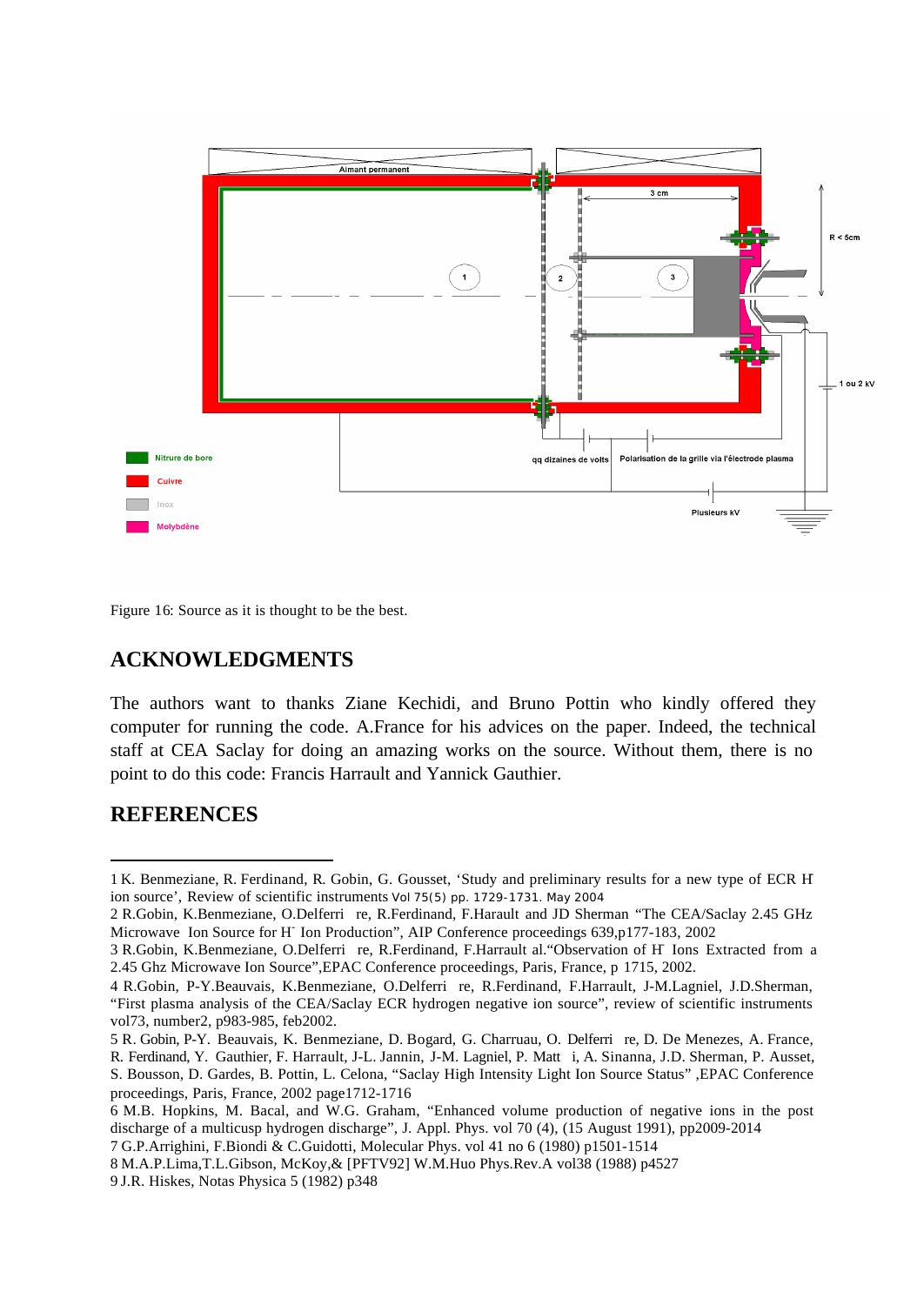

Figure 16: Source as it is thought to be the best.

# **ACKNOWLEDGMENTS**

The authors want to thanks Ziane Kechidi, and Bruno Pottin who kindly offered they computer for running the code. A.France for his advices on the paper. Indeed, the technical staff at CEA Saclay for doing an amazing works on the source. Without them, there is no point to do this code: Francis Harrault and Yannick Gauthier.

## **REFERENCES**

 $\overline{a}$ 

<sup>1</sup> K. Benmeziane, R. Ferdinand, R. Gobin, G. Gousset, 'Study and preliminary results for a new type of ECR Hion source', Review of scientific instruments Vol 75(5) pp. 1729-1731. May 2004

<sup>2</sup> R.Gobin, K.Benmeziane, O.Delferri re, R.Ferdinand, F.Harault and JD Sherman "The CEA/Saclay 2.45 GHz Microwave Ion Source for H<sup>-</sup> Ion Production", AIP Conference proceedings 639, p177-183, 2002

<sup>3</sup> R.Gobin, K.Benmeziane, O.Delferri re, R.Ferdinand, F.Harrault al. "Observation of H Ions Extracted from a 2.45 Ghz Microwave Ion Source",EPAC Conference proceedings, Paris, France, p 1715, 2002.

<sup>4</sup> R.Gobin, P-Y.Beauvais, K.Benmeziane, O.Delferri re, R.Ferdinand, F.Harrault, J-M.Lagniel, J.D.Sherman, "First plasma analysis of the CEA/Saclay ECR hydrogen negative ion source", review of scientific instruments vol73, number2, p983-985, feb2002.

<sup>5</sup> R. Gobin, P-Y. Beauvais, K. Benmeziane, D. Bogard, G. Charruau, O. Delferrire, D. De Menezes, A. France, R. Ferdinand, Y. Gauthier, F. Harrault, J-L. Jannin, J-M. Lagniel, P. Matti, A. Sinanna, J.D. Sherman, P. Ausset, S. Bousson, D. Gardes, B. Pottin, L. Celona, "Saclay High Intensity Light Ion Source Status" ,EPAC Conference proceedings, Paris, France, 2002 page1712-1716

<sup>6</sup> M.B. Hopkins, M. Bacal, and W.G. Graham, "Enhanced volume production of negative ions in the post discharge of a multicusp hydrogen discharge", J. Appl. Phys. vol 70 (4), (15 August 1991), pp2009-2014

<sup>7</sup> G.P.Arrighini, F.Biondi & C.Guidotti, Molecular Phys. vol 41 no 6 (1980) p1501-1514

<sup>8</sup> M.A.P.Lima,T.L.Gibson, McKoy,& [PFTV92] W.M.Huo Phys.Rev.A vol38 (1988) p4527

<sup>9</sup> J.R. Hiskes, Notas Physica 5 (1982) p348